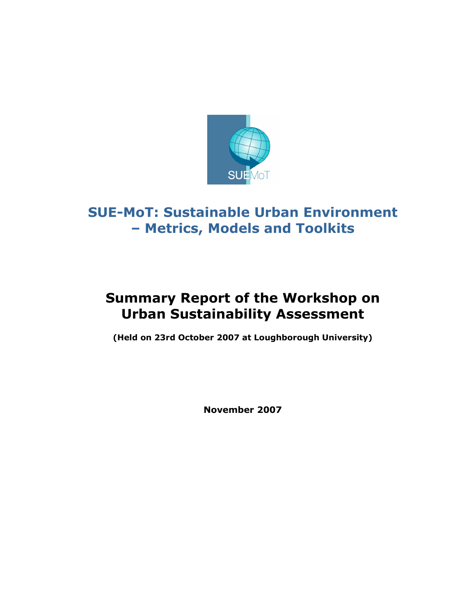

# SUE-MoT: Sustainable Urban Environment – Metrics, Models and Toolkits

# Summary Report of the Workshop on Urban Sustainability Assessment

(Held on 23rd October 2007 at Loughborough University)

November 2007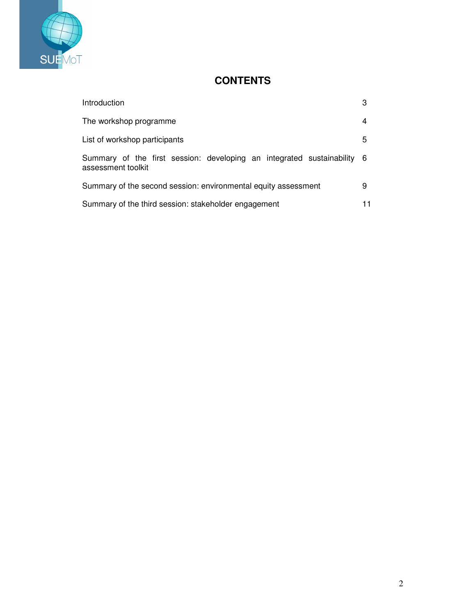

## **CONTENTS**

| Introduction                                                                                  | 3 |
|-----------------------------------------------------------------------------------------------|---|
| The workshop programme                                                                        | 4 |
| List of workshop participants                                                                 | 5 |
| Summary of the first session: developing an integrated sustainability 6<br>assessment toolkit |   |
| Summary of the second session: environmental equity assessment                                | 9 |
| Summary of the third session: stakeholder engagement                                          |   |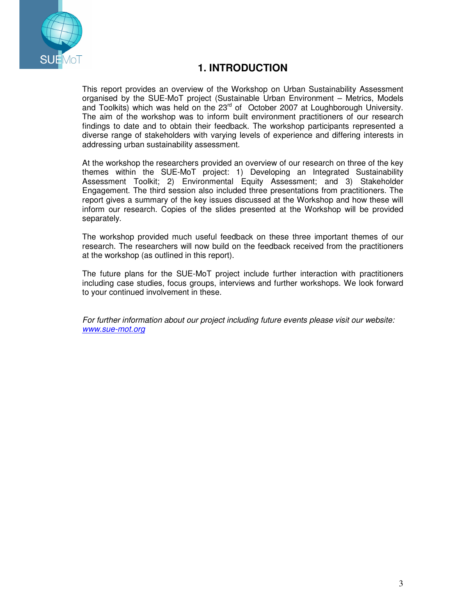

## **1. INTRODUCTION**

This report provides an overview of the Workshop on Urban Sustainability Assessment organised by the SUE-MoT project (Sustainable Urban Environment – Metrics, Models and Toolkits) which was held on the 23<sup>rd</sup> of October 2007 at Loughborough University. The aim of the workshop was to inform built environment practitioners of our research findings to date and to obtain their feedback. The workshop participants represented a diverse range of stakeholders with varying levels of experience and differing interests in addressing urban sustainability assessment.

At the workshop the researchers provided an overview of our research on three of the key themes within the SUE-MoT project: 1) Developing an Integrated Sustainability Assessment Toolkit; 2) Environmental Equity Assessment; and 3) Stakeholder Engagement. The third session also included three presentations from practitioners. The report gives a summary of the key issues discussed at the Workshop and how these will inform our research. Copies of the slides presented at the Workshop will be provided separately.

The workshop provided much useful feedback on these three important themes of our research. The researchers will now build on the feedback received from the practitioners at the workshop (as outlined in this report).

The future plans for the SUE-MoT project include further interaction with practitioners including case studies, focus groups, interviews and further workshops. We look forward to your continued involvement in these.

For further information about our project including future events please visit our website: www.sue-mot.org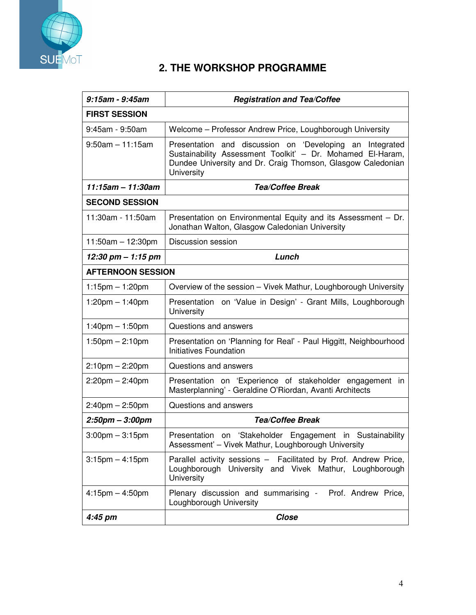

## **2. THE WORKSHOP PROGRAMME**

| 9:15am - 9:45am                   | <b>Registration and Tea/Coffee</b>                                                                                                                                                                     |  |
|-----------------------------------|--------------------------------------------------------------------------------------------------------------------------------------------------------------------------------------------------------|--|
| <b>FIRST SESSION</b>              |                                                                                                                                                                                                        |  |
| 9:45am - 9:50am                   | Welcome - Professor Andrew Price, Loughborough University                                                                                                                                              |  |
| $9:50$ am $-11:15$ am             | Presentation and discussion on 'Developing an<br>Integrated<br>Sustainability Assessment Toolkit' - Dr. Mohamed El-Haram,<br>Dundee University and Dr. Craig Thomson, Glasgow Caledonian<br>University |  |
| $11:15$ am - 11:30am              | <b>Tea/Coffee Break</b>                                                                                                                                                                                |  |
| <b>SECOND SESSION</b>             |                                                                                                                                                                                                        |  |
| 11:30am - 11:50am                 | Presentation on Environmental Equity and its Assessment - Dr.<br>Jonathan Walton, Glasgow Caledonian University                                                                                        |  |
| $11:50am - 12:30pm$               | Discussion session                                                                                                                                                                                     |  |
| 12:30 pm $-$ 1:15 pm              | Lunch                                                                                                                                                                                                  |  |
| <b>AFTERNOON SESSION</b>          |                                                                                                                                                                                                        |  |
| $1:15$ pm $-1:20$ pm              | Overview of the session - Vivek Mathur, Loughborough University                                                                                                                                        |  |
| $1:20$ pm $-1:40$ pm              | Presentation on 'Value in Design' - Grant Mills, Loughborough<br>University                                                                                                                            |  |
| $1:40$ pm $-1:50$ pm              | Questions and answers                                                                                                                                                                                  |  |
| $1:50 \text{pm} - 2:10 \text{pm}$ | Presentation on 'Planning for Real' - Paul Higgitt, Neighbourhood<br>Initiatives Foundation                                                                                                            |  |
| $2:10$ pm $- 2:20$ pm             | Questions and answers                                                                                                                                                                                  |  |
| $2:20$ pm $- 2:40$ pm             | Presentation on 'Experience of stakeholder engagement in<br>Masterplanning' - Geraldine O'Riordan, Avanti Architects                                                                                   |  |
| $2:40$ pm $- 2:50$ pm             | Questions and answers                                                                                                                                                                                  |  |
| $2:50$ pm $-3:00$ pm              | <b>Tea/Coffee Break</b>                                                                                                                                                                                |  |
| $3:00$ pm $-3:15$ pm              | Presentation on 'Stakeholder Engagement in Sustainability<br>Assessment' - Vivek Mathur, Loughborough University                                                                                       |  |
| $3:15$ pm $-4:15$ pm              | Parallel activity sessions - Facilitated by Prof. Andrew Price,<br>Loughborough University and Vivek Mathur, Loughborough<br>University                                                                |  |
| $4:15$ pm $-4:50$ pm              | Plenary discussion and summarising -<br>Prof. Andrew Price,<br>Loughborough University                                                                                                                 |  |
| 4:45 pm                           | <b>Close</b>                                                                                                                                                                                           |  |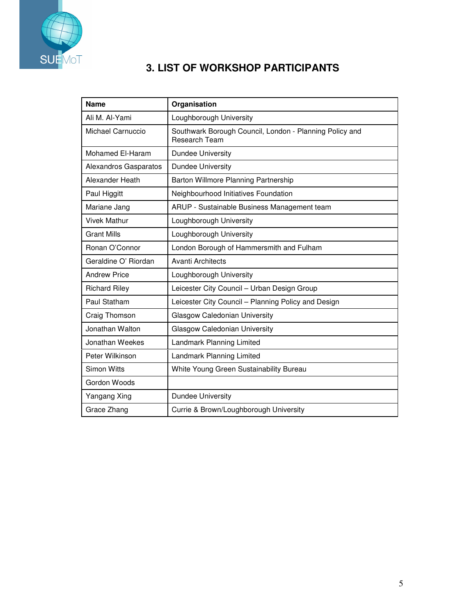

## **3. LIST OF WORKSHOP PARTICIPANTS**

| <b>Name</b>           | Organisation                                                             |
|-----------------------|--------------------------------------------------------------------------|
| Ali M. Al-Yami        | Loughborough University                                                  |
| Michael Carnuccio     | Southwark Borough Council, London - Planning Policy and<br>Research Team |
| Mohamed El-Haram      | <b>Dundee University</b>                                                 |
| Alexandros Gasparatos | <b>Dundee University</b>                                                 |
| Alexander Heath       | Barton Willmore Planning Partnership                                     |
| Paul Higgitt          | Neighbourhood Initiatives Foundation                                     |
| Mariane Jang          | ARUP - Sustainable Business Management team                              |
| Vivek Mathur          | Loughborough University                                                  |
| <b>Grant Mills</b>    | Loughborough University                                                  |
| Ronan O'Connor        | London Borough of Hammersmith and Fulham                                 |
| Geraldine O' Riordan  | <b>Avanti Architects</b>                                                 |
| <b>Andrew Price</b>   | Loughborough University                                                  |
| <b>Richard Riley</b>  | Leicester City Council - Urban Design Group                              |
| Paul Statham          | Leicester City Council - Planning Policy and Design                      |
| Craig Thomson         | Glasgow Caledonian University                                            |
| Jonathan Walton       | Glasgow Caledonian University                                            |
| Jonathan Weekes       | Landmark Planning Limited                                                |
| Peter Wilkinson       | Landmark Planning Limited                                                |
| <b>Simon Witts</b>    | White Young Green Sustainability Bureau                                  |
| Gordon Woods          |                                                                          |
| Yangang Xing          | <b>Dundee University</b>                                                 |
| Grace Zhang           | Currie & Brown/Loughborough University                                   |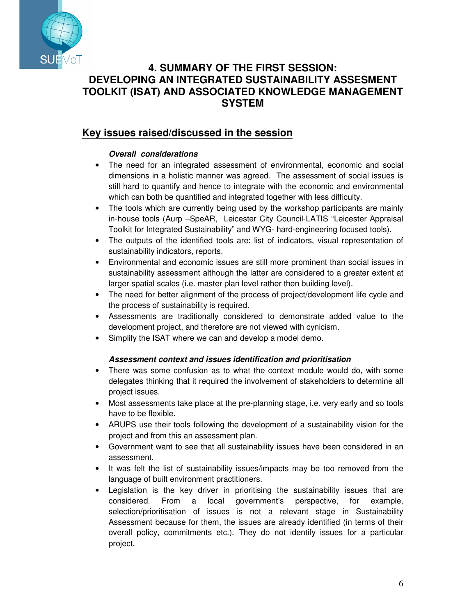

## **4. SUMMARY OF THE FIRST SESSION: DEVELOPING AN INTEGRATED SUSTAINABILITY ASSESMENT TOOLKIT (ISAT) AND ASSOCIATED KNOWLEDGE MANAGEMENT SYSTEM**

## **Key issues raised/discussed in the session**

## **Overall considerations**

- The need for an integrated assessment of environmental, economic and social dimensions in a holistic manner was agreed. The assessment of social issues is still hard to quantify and hence to integrate with the economic and environmental which can both be quantified and integrated together with less difficulty.
- The tools which are currently being used by the workshop participants are mainly in-house tools (Aurp –SpeAR, Leicester City Council-LATIS "Leicester Appraisal Toolkit for Integrated Sustainability" and WYG- hard-engineering focused tools).
- The outputs of the identified tools are: list of indicators, visual representation of sustainability indicators, reports.
- Environmental and economic issues are still more prominent than social issues in sustainability assessment although the latter are considered to a greater extent at larger spatial scales (i.e. master plan level rather then building level).
- The need for better alignment of the process of project/development life cycle and the process of sustainability is required.
- Assessments are traditionally considered to demonstrate added value to the development project, and therefore are not viewed with cynicism.
- Simplify the ISAT where we can and develop a model demo.

## **Assessment context and issues identification and prioritisation**

- There was some confusion as to what the context module would do, with some delegates thinking that it required the involvement of stakeholders to determine all project issues.
- Most assessments take place at the pre-planning stage, i.e. very early and so tools have to be flexible.
- ARUPS use their tools following the development of a sustainability vision for the project and from this an assessment plan.
- Government want to see that all sustainability issues have been considered in an assessment.
- It was felt the list of sustainability issues/impacts may be too removed from the language of built environment practitioners.
- Legislation is the key driver in prioritising the sustainability issues that are considered. From a local government's perspective, for example, selection/prioritisation of issues is not a relevant stage in Sustainability Assessment because for them, the issues are already identified (in terms of their overall policy, commitments etc.). They do not identify issues for a particular project.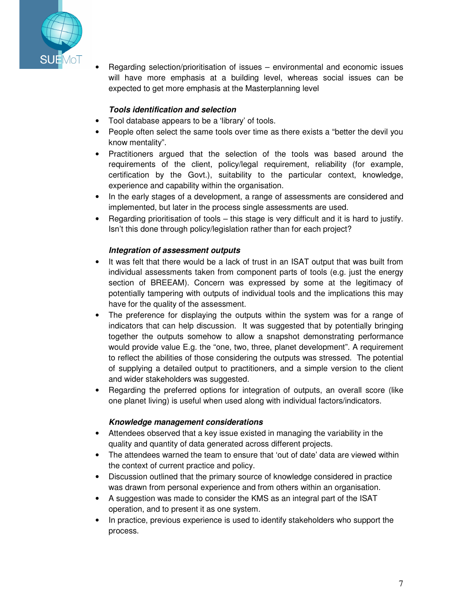

• Regarding selection/prioritisation of issues – environmental and economic issues will have more emphasis at a building level, whereas social issues can be expected to get more emphasis at the Masterplanning level

#### **Tools identification and selection**

- Tool database appears to be a 'library' of tools.
- People often select the same tools over time as there exists a "better the devil you know mentality".
- Practitioners argued that the selection of the tools was based around the requirements of the client, policy/legal requirement, reliability (for example, certification by the Govt.), suitability to the particular context, knowledge, experience and capability within the organisation.
- In the early stages of a development, a range of assessments are considered and implemented, but later in the process single assessments are used.
- Regarding prioritisation of tools this stage is very difficult and it is hard to justify. Isn't this done through policy/legislation rather than for each project?

#### **Integration of assessment outputs**

- It was felt that there would be a lack of trust in an ISAT output that was built from individual assessments taken from component parts of tools (e.g. just the energy section of BREEAM). Concern was expressed by some at the legitimacy of potentially tampering with outputs of individual tools and the implications this may have for the quality of the assessment.
- The preference for displaying the outputs within the system was for a range of indicators that can help discussion. It was suggested that by potentially bringing together the outputs somehow to allow a snapshot demonstrating performance would provide value E.g. the "one, two, three, planet development". A requirement to reflect the abilities of those considering the outputs was stressed. The potential of supplying a detailed output to practitioners, and a simple version to the client and wider stakeholders was suggested.
- Regarding the preferred options for integration of outputs, an overall score (like one planet living) is useful when used along with individual factors/indicators.

#### **Knowledge management considerations**

- Attendees observed that a key issue existed in managing the variability in the quality and quantity of data generated across different projects.
- The attendees warned the team to ensure that 'out of date' data are viewed within the context of current practice and policy.
- Discussion outlined that the primary source of knowledge considered in practice was drawn from personal experience and from others within an organisation.
- A suggestion was made to consider the KMS as an integral part of the ISAT operation, and to present it as one system.
- In practice, previous experience is used to identify stakeholders who support the process.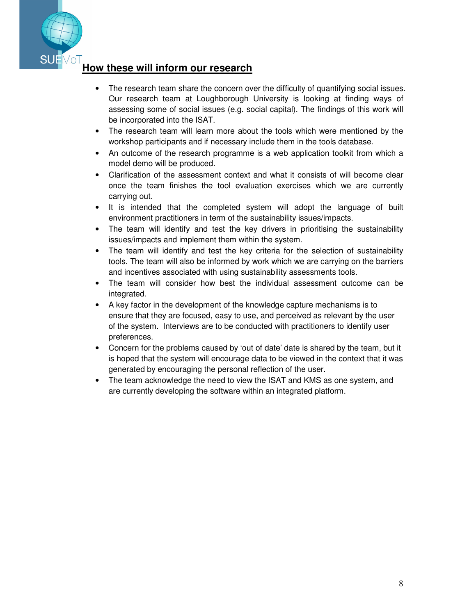

## **How these will inform our research**

- The research team share the concern over the difficulty of quantifying social issues. Our research team at Loughborough University is looking at finding ways of assessing some of social issues (e.g. social capital). The findings of this work will be incorporated into the ISAT.
- The research team will learn more about the tools which were mentioned by the workshop participants and if necessary include them in the tools database.
- An outcome of the research programme is a web application toolkit from which a model demo will be produced.
- Clarification of the assessment context and what it consists of will become clear once the team finishes the tool evaluation exercises which we are currently carrying out.
- It is intended that the completed system will adopt the language of built environment practitioners in term of the sustainability issues/impacts.
- The team will identify and test the key drivers in prioritising the sustainability issues/impacts and implement them within the system.
- The team will identify and test the key criteria for the selection of sustainability tools. The team will also be informed by work which we are carrying on the barriers and incentives associated with using sustainability assessments tools.
- The team will consider how best the individual assessment outcome can be integrated.
- A key factor in the development of the knowledge capture mechanisms is to ensure that they are focused, easy to use, and perceived as relevant by the user of the system. Interviews are to be conducted with practitioners to identify user preferences.
- Concern for the problems caused by 'out of date' date is shared by the team, but it is hoped that the system will encourage data to be viewed in the context that it was generated by encouraging the personal reflection of the user.
- The team acknowledge the need to view the ISAT and KMS as one system, and are currently developing the software within an integrated platform.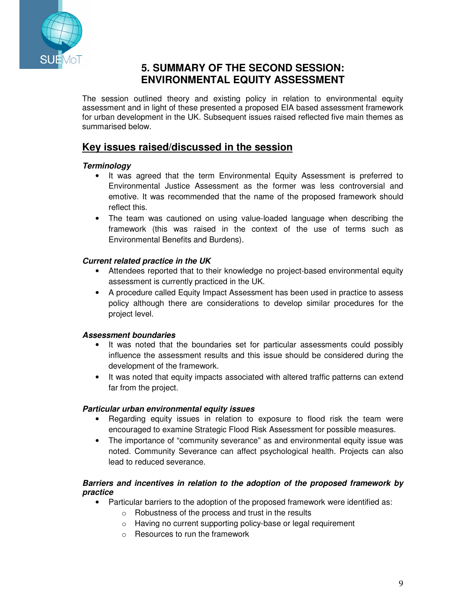

## **5. SUMMARY OF THE SECOND SESSION: ENVIRONMENTAL EQUITY ASSESSMENT**

The session outlined theory and existing policy in relation to environmental equity assessment and in light of these presented a proposed EIA based assessment framework for urban development in the UK. Subsequent issues raised reflected five main themes as summarised below.

## **Key issues raised/discussed in the session**

### **Terminology**

- It was agreed that the term Environmental Equity Assessment is preferred to Environmental Justice Assessment as the former was less controversial and emotive. It was recommended that the name of the proposed framework should reflect this.
- The team was cautioned on using value-loaded language when describing the framework (this was raised in the context of the use of terms such as Environmental Benefits and Burdens).

### **Current related practice in the UK**

- Attendees reported that to their knowledge no project-based environmental equity assessment is currently practiced in the UK.
- A procedure called Equity Impact Assessment has been used in practice to assess policy although there are considerations to develop similar procedures for the project level.

### **Assessment boundaries**

- It was noted that the boundaries set for particular assessments could possibly influence the assessment results and this issue should be considered during the development of the framework.
- It was noted that equity impacts associated with altered traffic patterns can extend far from the project.

### **Particular urban environmental equity issues**

- Regarding equity issues in relation to exposure to flood risk the team were encouraged to examine Strategic Flood Risk Assessment for possible measures.
- The importance of "community severance" as and environmental equity issue was noted. Community Severance can affect psychological health. Projects can also lead to reduced severance.

### **Barriers and incentives in relation to the adoption of the proposed framework by practice**

- Particular barriers to the adoption of the proposed framework were identified as:
	- o Robustness of the process and trust in the results
	- o Having no current supporting policy-base or legal requirement
	- o Resources to run the framework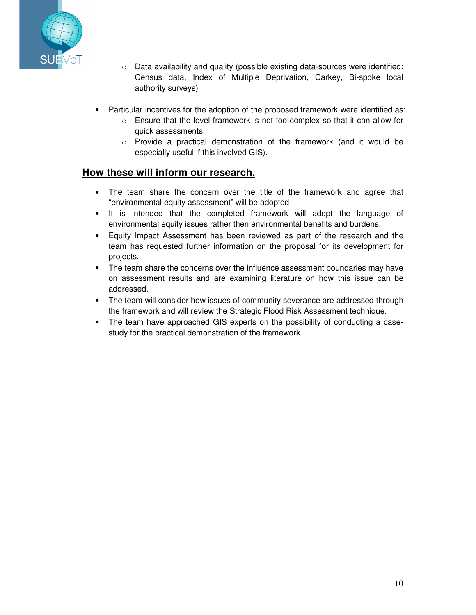

- o Data availability and quality (possible existing data-sources were identified: Census data, Index of Multiple Deprivation, Carkey, Bi-spoke local authority surveys)
- Particular incentives for the adoption of the proposed framework were identified as:
	- $\circ$  Ensure that the level framework is not too complex so that it can allow for quick assessments.
	- o Provide a practical demonstration of the framework (and it would be especially useful if this involved GIS).

## **How these will inform our research.**

- The team share the concern over the title of the framework and agree that "environmental equity assessment" will be adopted
- It is intended that the completed framework will adopt the language of environmental equity issues rather then environmental benefits and burdens.
- Equity Impact Assessment has been reviewed as part of the research and the team has requested further information on the proposal for its development for projects.
- The team share the concerns over the influence assessment boundaries may have on assessment results and are examining literature on how this issue can be addressed.
- The team will consider how issues of community severance are addressed through the framework and will review the Strategic Flood Risk Assessment technique.
- The team have approached GIS experts on the possibility of conducting a casestudy for the practical demonstration of the framework.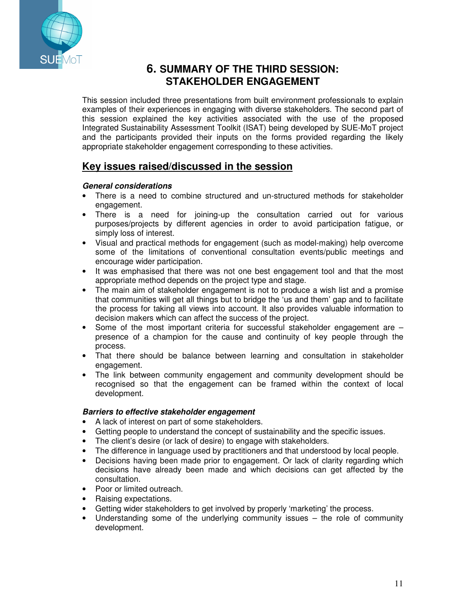

## **6. SUMMARY OF THE THIRD SESSION: STAKEHOLDER ENGAGEMENT**

This session included three presentations from built environment professionals to explain examples of their experiences in engaging with diverse stakeholders. The second part of this session explained the key activities associated with the use of the proposed Integrated Sustainability Assessment Toolkit (ISAT) being developed by SUE-MoT project and the participants provided their inputs on the forms provided regarding the likely appropriate stakeholder engagement corresponding to these activities.

## **Key issues raised/discussed in the session**

### **General considerations**

- There is a need to combine structured and un-structured methods for stakeholder engagement.
- There is a need for joining-up the consultation carried out for various purposes/projects by different agencies in order to avoid participation fatigue, or simply loss of interest.
- Visual and practical methods for engagement (such as model-making) help overcome some of the limitations of conventional consultation events/public meetings and encourage wider participation.
- It was emphasised that there was not one best engagement tool and that the most appropriate method depends on the project type and stage.
- The main aim of stakeholder engagement is not to produce a wish list and a promise that communities will get all things but to bridge the 'us and them' gap and to facilitate the process for taking all views into account. It also provides valuable information to decision makers which can affect the success of the project.
- Some of the most important criteria for successful stakeholder engagement are presence of a champion for the cause and continuity of key people through the process.
- That there should be balance between learning and consultation in stakeholder engagement.
- The link between community engagement and community development should be recognised so that the engagement can be framed within the context of local development.

### **Barriers to effective stakeholder engagement**

- A lack of interest on part of some stakeholders.
- Getting people to understand the concept of sustainability and the specific issues.
- The client's desire (or lack of desire) to engage with stakeholders.
- The difference in language used by practitioners and that understood by local people.
- Decisions having been made prior to engagement. Or lack of clarity regarding which decisions have already been made and which decisions can get affected by the consultation.
- Poor or limited outreach.
- Raising expectations.
- Getting wider stakeholders to get involved by properly 'marketing' the process.
- Understanding some of the underlying community issues the role of community development.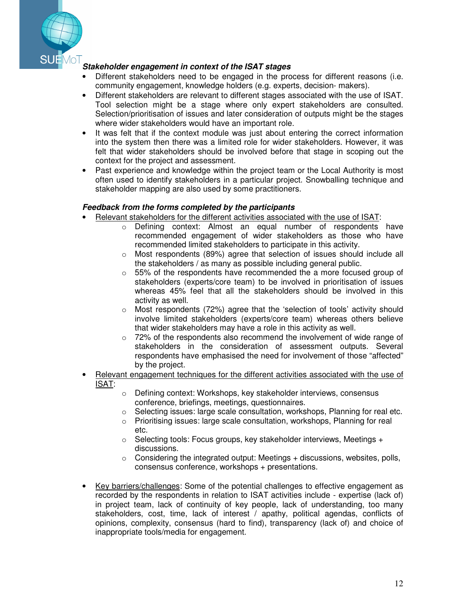

### **Stakeholder engagement in context of the ISAT stages**

- Different stakeholders need to be engaged in the process for different reasons (i.e. community engagement, knowledge holders (e.g. experts, decision- makers).
- Different stakeholders are relevant to different stages associated with the use of ISAT. Tool selection might be a stage where only expert stakeholders are consulted. Selection/prioritisation of issues and later consideration of outputs might be the stages where wider stakeholders would have an important role.
- It was felt that if the context module was just about entering the correct information into the system then there was a limited role for wider stakeholders. However, it was felt that wider stakeholders should be involved before that stage in scoping out the context for the project and assessment.
- Past experience and knowledge within the project team or the Local Authority is most often used to identify stakeholders in a particular project. Snowballing technique and stakeholder mapping are also used by some practitioners.

#### **Feedback from the forms completed by the participants**

- Relevant stakeholders for the different activities associated with the use of ISAT:
	- o Defining context: Almost an equal number of respondents have recommended engagement of wider stakeholders as those who have recommended limited stakeholders to participate in this activity.
	- $\circ$  Most respondents (89%) agree that selection of issues should include all the stakeholders / as many as possible including general public.
	- $\circ$  55% of the respondents have recommended the a more focused group of stakeholders (experts/core team) to be involved in prioritisation of issues whereas 45% feel that all the stakeholders should be involved in this activity as well.
	- $\circ$  Most respondents (72%) agree that the 'selection of tools' activity should involve limited stakeholders (experts/core team) whereas others believe that wider stakeholders may have a role in this activity as well.
	- $\circ$  72% of the respondents also recommend the involvement of wide range of stakeholders in the consideration of assessment outputs. Several respondents have emphasised the need for involvement of those "affected" by the project.
- Relevant engagement techniques for the different activities associated with the use of ISAT:
	- o Defining context: Workshops, key stakeholder interviews, consensus conference, briefings, meetings, questionnaires.
	- $\circ$  Selecting issues: large scale consultation, workshops, Planning for real etc.
	- $\circ$  Prioritising issues: large scale consultation, workshops, Planning for real etc.
	- $\circ$  Selecting tools: Focus groups, key stakeholder interviews, Meetings + discussions.
	- $\circ$  Considering the integrated output: Meetings  $+$  discussions, websites, polls, consensus conference, workshops + presentations.
- Key barriers/challenges: Some of the potential challenges to effective engagement as recorded by the respondents in relation to ISAT activities include - expertise (lack of) in project team, lack of continuity of key people, lack of understanding, too many stakeholders, cost, time, lack of interest / apathy, political agendas, conflicts of opinions, complexity, consensus (hard to find), transparency (lack of) and choice of inappropriate tools/media for engagement.